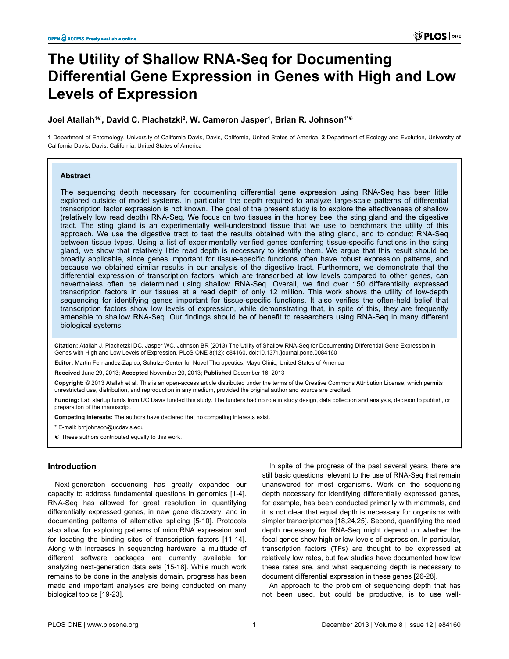# **The Utility of Shallow RNA-Seq for Documenting Differential Gene Expression in Genes with High and Low Levels of Expression**

# **Joel Atallah<sup>1</sup>☯, David C. Plachetzki<sup>2</sup> , W. Cameron Jasper<sup>1</sup> , Brian R. Johnson1\*☯**

**1** Department of Entomology, University of California Davis, Davis, California, United States of America, **2** Department of Ecology and Evolution, University of California Davis, Davis, California, United States of America

## **Abstract**

The sequencing depth necessary for documenting differential gene expression using RNA-Seq has been little explored outside of model systems. In particular, the depth required to analyze large-scale patterns of differential transcription factor expression is not known. The goal of the present study is to explore the effectiveness of shallow (relatively low read depth) RNA-Seq. We focus on two tissues in the honey bee: the sting gland and the digestive tract. The sting gland is an experimentally well-understood tissue that we use to benchmark the utility of this approach. We use the digestive tract to test the results obtained with the sting gland, and to conduct RNA-Seq between tissue types. Using a list of experimentally verified genes conferring tissue-specific functions in the sting gland, we show that relatively little read depth is necessary to identify them. We argue that this result should be broadly applicable, since genes important for tissue-specific functions often have robust expression patterns, and because we obtained similar results in our analysis of the digestive tract. Furthermore, we demonstrate that the differential expression of transcription factors, which are transcribed at low levels compared to other genes, can nevertheless often be determined using shallow RNA-Seq. Overall, we find over 150 differentially expressed transcription factors in our tissues at a read depth of only 12 million. This work shows the utility of low-depth sequencing for identifying genes important for tissue-specific functions. It also verifies the often-held belief that transcription factors show low levels of expression, while demonstrating that, in spite of this, they are frequently amenable to shallow RNA-Seq. Our findings should be of benefit to researchers using RNA-Seq in many different biological systems.

**Citation:** Atallah J, Plachetzki DC, Jasper WC, Johnson BR (2013) The Utility of Shallow RNA-Seq for Documenting Differential Gene Expression in Genes with High and Low Levels of Expression. PLoS ONE 8(12): e84160. doi:10.1371/journal.pone.0084160

**Editor:** Martin Fernandez-Zapico, Schulze Center for Novel Therapeutics, Mayo Clinic, United States of America

**Received** June 29, 2013; **Accepted** November 20, 2013; **Published** December 16, 2013

**Copyright:** © 2013 Atallah et al. This is an open-access article distributed under the terms of the [Creative Commons Attribution License](http://creativecommons.org/licenses/by/4.0/), which permits unrestricted use, distribution, and reproduction in any medium, provided the original author and source are credited.

**Funding:** Lab startup funds from UC Davis funded this study. The funders had no role in study design, data collection and analysis, decision to publish, or preparation of the manuscript.

**Competing interests:** The authors have declared that no competing interests exist.

\* E-mail: brnjohnson@ucdavis.edu

☯ These authors contributed equally to this work.

# **Introduction**

Next-generation sequencing has greatly expanded our capacity to address fundamental questions in genomics [\[1-4\]](#page-9-0). RNA-Seq has allowed for great resolution in quantifying differentially expressed genes, in new gene discovery, and in documenting patterns of alternative splicing [\[5-10](#page-9-0)]. Protocols also allow for exploring patterns of microRNA expression and for locating the binding sites of transcription factors [\[11-14\]](#page-9-0). Along with increases in sequencing hardware, a multitude of different software packages are currently available for analyzing next-generation data sets [\[15-18\]](#page-9-0). While much work remains to be done in the analysis domain, progress has been made and important analyses are being conducted on many biological topics [\[19-23](#page-9-0)].

In spite of the progress of the past several years, there are still basic questions relevant to the use of RNA-Seq that remain unanswered for most organisms. Work on the sequencing depth necessary for identifying differentially expressed genes, for example, has been conducted primarily with mammals, and it is not clear that equal depth is necessary for organisms with simpler transcriptomes [[18](#page-9-0),[24,25\]](#page-9-0). Second, quantifying the read depth necessary for RNA-Seq might depend on whether the focal genes show high or low levels of expression. In particular, transcription factors (TFs) are thought to be expressed at relatively low rates, but few studies have documented how low these rates are, and what sequencing depth is necessary to document differential expression in these genes [\[26-28\]](#page-9-0).

An approach to the problem of sequencing depth that has not been used, but could be productive, is to use well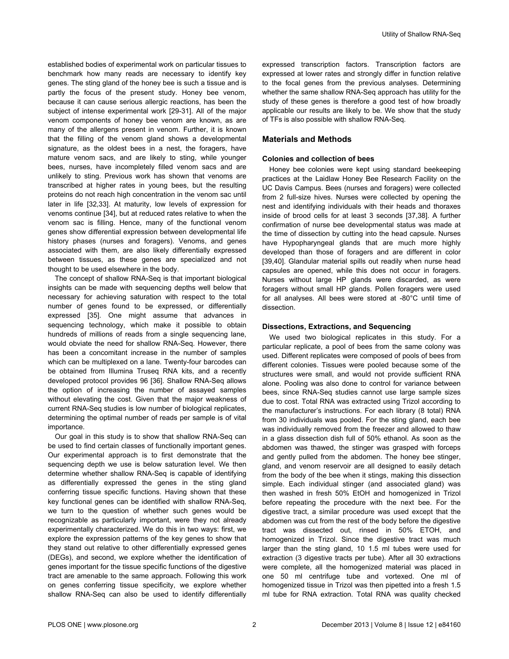established bodies of experimental work on particular tissues to benchmark how many reads are necessary to identify key genes. The sting gland of the honey bee is such a tissue and is partly the focus of the present study. Honey bee venom, because it can cause serious allergic reactions, has been the subject of intense experimental work [[29-31\]](#page-10-0). All of the major venom components of honey bee venom are known, as are many of the allergens present in venom. Further, it is known that the filling of the venom gland shows a developmental signature, as the oldest bees in a nest, the foragers, have mature venom sacs, and are likely to sting, while younger bees, nurses, have incompletely filled venom sacs and are unlikely to sting. Previous work has shown that venoms are transcribed at higher rates in young bees, but the resulting proteins do not reach high concentration in the venom sac until later in life [[32](#page-10-0),[33](#page-10-0)]. At maturity, low levels of expression for venoms continue [[34](#page-10-0)], but at reduced rates relative to when the venom sac is filling. Hence, many of the functional venom genes show differential expression between developmental life history phases (nurses and foragers). Venoms, and genes associated with them, are also likely differentially expressed between tissues, as these genes are specialized and not thought to be used elsewhere in the body.

The concept of shallow RNA-Seq is that important biological insights can be made with sequencing depths well below that necessary for achieving saturation with respect to the total number of genes found to be expressed, or differentially expressed [[35](#page-10-0)]. One might assume that advances in sequencing technology, which make it possible to obtain hundreds of millions of reads from a single sequencing lane, would obviate the need for shallow RNA-Seq. However, there has been a concomitant increase in the number of samples which can be multiplexed on a lane. Twenty-four barcodes can be obtained from Illumina Truseq RNA kits, and a recently developed protocol provides 96 [[36](#page-10-0)]. Shallow RNA-Seq allows the option of increasing the number of assayed samples without elevating the cost. Given that the major weakness of current RNA-Seq studies is low number of biological replicates, determining the optimal number of reads per sample is of vital importance.

Our goal in this study is to show that shallow RNA-Seq can be used to find certain classes of functionally important genes. Our experimental approach is to first demonstrate that the sequencing depth we use is below saturation level. We then determine whether shallow RNA-Seq is capable of identifying as differentially expressed the genes in the sting gland conferring tissue specific functions. Having shown that these key functional genes can be identified with shallow RNA-Seq, we turn to the question of whether such genes would be recognizable as particularly important, were they not already experimentally characterized. We do this in two ways: first, we explore the expression patterns of the key genes to show that they stand out relative to other differentially expressed genes (DEGs), and second, we explore whether the identification of genes important for the tissue specific functions of the digestive tract are amenable to the same approach. Following this work on genes conferring tissue specificity, we explore whether shallow RNA-Seq can also be used to identify differentially

expressed transcription factors. Transcription factors are expressed at lower rates and strongly differ in function relative to the focal genes from the previous analyses. Determining whether the same shallow RNA-Seq approach has utility for the study of these genes is therefore a good test of how broadly applicable our results are likely to be. We show that the study of TFs is also possible with shallow RNA-Seq.

# **Materials and Methods**

## **Colonies and collection of bees**

Honey bee colonies were kept using standard beekeeping practices at the Laidlaw Honey Bee Research Facility on the UC Davis Campus. Bees (nurses and foragers) were collected from 2 full-size hives. Nurses were collected by opening the nest and identifying individuals with their heads and thoraxes inside of brood cells for at least 3 seconds [[37](#page-10-0),[38](#page-10-0)]. A further confirmation of nurse bee developmental status was made at the time of dissection by cutting into the head capsule. Nurses have Hypopharyngeal glands that are much more highly developed than those of foragers and are different in color [[39](#page-10-0),[40](#page-10-0)]. Glandular material spills out readily when nurse head capsules are opened, while this does not occur in foragers. Nurses without large HP glands were discarded, as were foragers without small HP glands. Pollen foragers were used for all analyses. All bees were stored at -80°C until time of dissection.

#### **Dissections, Extractions, and Sequencing**

We used two biological replicates in this study. For a particular replicate, a pool of bees from the same colony was used. Different replicates were composed of pools of bees from different colonies. Tissues were pooled because some of the structures were small, and would not provide sufficient RNA alone. Pooling was also done to control for variance between bees, since RNA-Seq studies cannot use large sample sizes due to cost. Total RNA was extracted using Trizol according to the manufacturer's instructions. For each library (8 total) RNA from 30 individuals was pooled. For the sting gland, each bee was individually removed from the freezer and allowed to thaw in a glass dissection dish full of 50% ethanol. As soon as the abdomen was thawed, the stinger was grasped with forceps and gently pulled from the abdomen. The honey bee stinger, gland, and venom reservoir are all designed to easily detach from the body of the bee when it stings, making this dissection simple. Each individual stinger (and associated gland) was then washed in fresh 50% EtOH and homogenized in Trizol before repeating the procedure with the next bee. For the digestive tract, a similar procedure was used except that the abdomen was cut from the rest of the body before the digestive tract was dissected out, rinsed in 50% ETOH, and homogenized in Trizol. Since the digestive tract was much larger than the sting gland, 10 1.5 ml tubes were used for extraction (3 digestive tracts per tube). After all 30 extractions were complete, all the homogenized material was placed in one 50 ml centrifuge tube and vortexed. One ml of homogenized tissue in Trizol was then pipetted into a fresh 1.5 ml tube for RNA extraction. Total RNA was quality checked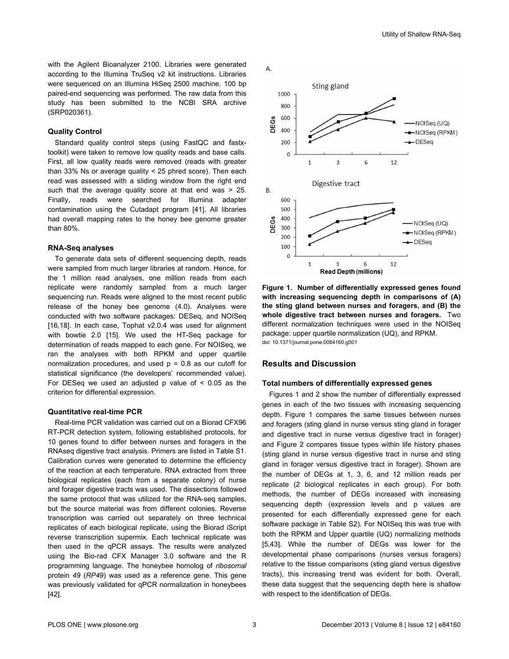<span id="page-2-0"></span>with the Agilent Bioanalyzer 2100. Libraries were generated according to the Illumina TruSeq v2 kit instructions. Libraries were sequenced on an Illumina HiSeq 2500 machine. 100 bp paired-end sequencing was performed. The raw data from this study has been submitted to the NCBI SRA archive (SRP020361).

# **Quality Control**

Standard quality control steps (using FastQC and fastxtoolkit) were taken to remove low quality reads and base calls. First, all low quality reads were removed (reads with greater than 33% Ns or average quality < 25 phred score). Then each read was assessed with a sliding window from the right end such that the average quality score at that end was > 25. Finally, reads were searched for Illumina adapter contamination using the Cutadapt program [[41](#page-10-0)]. All libraries had overall mapping rates to the honey bee genome greater than 80%.

#### **RNA-Seq analyses**

To generate data sets of different sequencing depth, reads were sampled from much larger libraries at random. Hence, for the 1 million read analyses, one million reads from each replicate were randomly sampled from a much larger sequencing run. Reads were aligned to the most recent public release of the honey bee genome (4.0). Analyses were conducted with two software packages: DESeq, and NOISeq [[16](#page-9-0),[18](#page-9-0)]. In each case, Tophat v2.0.4 was used for alignment with bowtie 2.0 [\[15\]](#page-9-0). We used the HT-Seq package for determination of reads mapped to each gene. For NOISeq, we ran the analyses with both RPKM and upper quartile normalization procedures, and used  $p = 0.8$  as our cutoff for statistical significance (the developers' recommended value). For DESeq we used an adjusted p value of  $\leq$  0.05 as the criterion for differential expression.

# **Quantitative real-time PCR**

Real-time PCR validation was carried out on a Biorad CFX96 RT-PCR detection system, following established protocols, for 10 genes found to differ between nurses and foragers in the RNAseq digestive tract analysis. Primers are listed in [Table S1](#page-8-0). Calibration curves were generated to determine the efficiency of the reaction at each temperature. RNA extracted from three biological replicates (each from a separate colony) of nurse and forager digestive tracts was used. The dissections followed the same protocol that was utilized for the RNA-seq samples, but the source material was from different colonies. Reverse transcription was carried out separately on three technical replicates of each biological replicate, using the Biorad iScript reverse transcription supermix. Each technical replicate was then used in the qPCR assays. The results were analyzed using the Bio-rad CFX Manager 3.0 software and the R programming language. The honeybee homolog of *ribosomal* protein *49* (*RP49*) was used as a reference gene. This gene was previously validated for qPCR normalization in honeybees [[42](#page-10-0)].



**Figure 1. Number of differentially expressed genes found with increasing sequencing depth in comparisons of (A) the sting gland between nurses and foragers, and (B) the whole digestive tract between nurses and foragers.** Two different normalization techniques were used in the NOISeq package: upper quartile normalization (UQ), and RPKM. doi: 10.1371/journal.pone.0084160.g001

# **Results and Discussion**

#### **Total numbers of differentially expressed genes**

Figures 1 and [2](#page-3-0) show the number of differentially expressed genes in each of the two tissues with increasing sequencing depth. Figure 1 compares the same tissues between nurses and foragers (sting gland in nurse versus sting gland in forager and digestive tract in nurse versus digestive tract in forager) and [Figure 2](#page-3-0) compares tissue types within life history phases (sting gland in nurse versus digestive tract in nurse and sting gland in forager versus digestive tract in forager). Shown are the number of DEGs at 1, 3, 6, and 12 million reads per replicate (2 biological replicates in each group). For both methods, the number of DEGs increased with increasing sequencing depth (expression levels and p values are presented for each differentially expressed gene for each software package in [Table S2](#page-8-0)). For NOISeq this was true with both the RPKM and Upper quartile (UQ) normalizing methods [[5,](#page-9-0)[43](#page-10-0)]. While the number of DEGs was lower for the developmental phase comparisons (nurses versus foragers) relative to the tissue comparisons (sting gland versus digestive tracts), this increasing trend was evident for both. Overall, these data suggest that the sequencing depth here is shallow with respect to the identification of DEGs.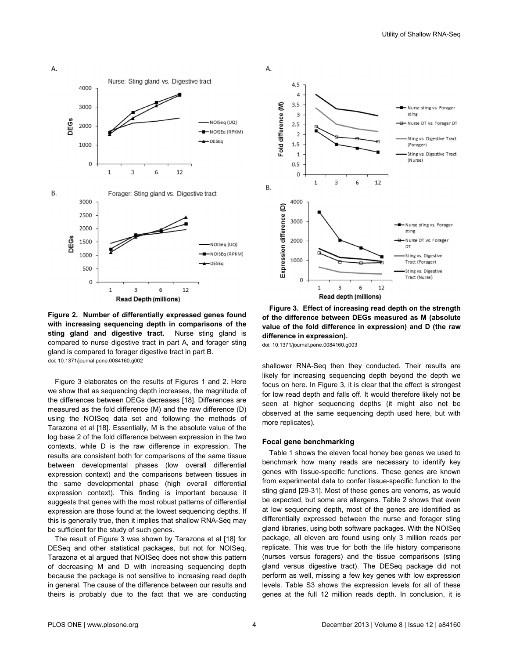<span id="page-3-0"></span>А.



**Figure 2. Number of differentially expressed genes found with increasing sequencing depth in comparisons of the** sting gland and digestive tract. Nurse sting gland is compared to nurse digestive tract in part A, and forager sting gland is compared to forager digestive tract in part B. doi: 10.1371/journal.pone.0084160.g002

Figure 3 elaborates on the results of [Figures 1](#page-2-0) and 2. Here we show that as sequencing depth increases, the magnitude of the differences between DEGs decreases [\[18\]](#page-9-0). Differences are measured as the fold difference (M) and the raw difference (D) using the NOISeq data set and following the methods of Tarazona et al [[18](#page-9-0)]. Essentially, M is the absolute value of the log base 2 of the fold difference between expression in the two contexts, while D is the raw difference in expression. The results are consistent both for comparisons of the same tissue between developmental phases (low overall differential expression context) and the comparisons between tissues in the same developmental phase (high overall differential expression context). This finding is important because it suggests that genes with the most robust patterns of differential expression are those found at the lowest sequencing depths. If this is generally true, then it implies that shallow RNA-Seq may be sufficient for the study of such genes.

The result of Figure 3 was shown by Tarazona et al [[18](#page-9-0)] for DESeq and other statistical packages, but not for NOISeq. Tarazona et al argued that NOISeq does not show this pattern of decreasing M and D with increasing sequencing depth because the package is not sensitive to increasing read depth in general. The cause of the difference between our results and theirs is probably due to the fact that we are conducting



**Figure 3. Effect of increasing read depth on the strength of the difference between DEGs measured as M (absolute value of the fold difference in expression) and D (the raw difference in expression).**

doi: 10.1371/journal.pone.0084160.g003

shallower RNA-Seq then they conducted. Their results are likely for increasing sequencing depth beyond the depth we focus on here. In Figure 3, it is clear that the effect is strongest for low read depth and falls off. It would therefore likely not be seen at higher sequencing depths (it might also not be observed at the same sequencing depth used here, but with more replicates).

#### **Focal gene benchmarking**

[Table 1](#page-4-0) shows the eleven focal honey bee genes we used to benchmark how many reads are necessary to identify key genes with tissue-specific functions. These genes are known from experimental data to confer tissue-specific function to the sting gland [[29-31\]](#page-10-0). Most of these genes are venoms, as would be expected, but some are allergens. [Table 2](#page-4-0) shows that even at low sequencing depth, most of the genes are identified as differentially expressed between the nurse and forager sting gland libraries, using both software packages. With the NOISeq package, all eleven are found using only 3 million reads per replicate. This was true for both the life history comparisons (nurses versus foragers) and the tissue comparisons (sting gland versus digestive tract). The DESeq package did not perform as well, missing a few key genes with low expression levels. [Table S3](#page-8-0) shows the expression levels for all of these genes at the full 12 million reads depth. In conclusion, it is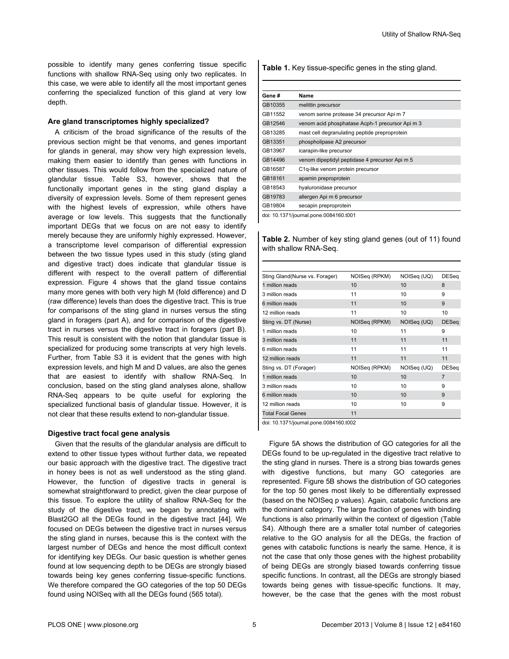<span id="page-4-0"></span>possible to identify many genes conferring tissue specific functions with shallow RNA-Seq using only two replicates. In this case, we were able to identify all the most important genes conferring the specialized function of this gland at very low depth.

# **Are gland transcriptomes highly specialized?**

A criticism of the broad significance of the results of the previous section might be that venoms, and genes important for glands in general, may show very high expression levels, making them easier to identify than genes with functions in other tissues. This would follow from the specialized nature of glandular tissue. [Table S3,](#page-8-0) however, shows that the functionally important genes in the sting gland display a diversity of expression levels. Some of them represent genes with the highest levels of expression, while others have average or low levels. This suggests that the functionally important DEGs that we focus on are not easy to identify merely because they are uniformly highly expressed. However, a transcriptome level comparison of differential expression between the two tissue types used in this study (sting gland and digestive tract) does indicate that glandular tissue is different with respect to the overall pattern of differential expression. [Figure 4](#page-5-0) shows that the gland tissue contains many more genes with both very high M (fold difference) and D (raw difference) levels than does the digestive tract. This is true for comparisons of the sting gland in nurses versus the sting gland in foragers (part A), and for comparison of the digestive tract in nurses versus the digestive tract in foragers (part B). This result is consistent with the notion that glandular tissue is specialized for producing some transcripts at very high levels. Further, from [Table S3](#page-8-0) it is evident that the genes with high expression levels, and high M and D values, are also the genes that are easiest to identify with shallow RNA-Seq. In conclusion, based on the sting gland analyses alone, shallow RNA-Seq appears to be quite useful for exploring the specialized functional basis of glandular tissue. However, it is not clear that these results extend to non-glandular tissue.

## **Digestive tract focal gene analysis**

Given that the results of the glandular analysis are difficult to extend to other tissue types without further data, we repeated our basic approach with the digestive tract. The digestive tract in honey bees is not as well understood as the sting gland. However, the function of digestive tracts in general is somewhat straightforward to predict, given the clear purpose of this tissue. To explore the utility of shallow RNA-Seq for the study of the digestive tract, we began by annotating with Blast2GO all the DEGs found in the digestive tract [[44](#page-10-0)]. We focused on DEGs between the digestive tract in nurses versus the sting gland in nurses, because this is the context with the largest number of DEGs and hence the most difficult context for identifying key DEGs. Our basic question is whether genes found at low sequencing depth to be DEGs are strongly biased towards being key genes conferring tissue-specific functions. We therefore compared the GO categories of the top 50 DEGs found using NOISeq with all the DEGs found (565 total).

**Table 1.** Key tissue-specific genes in the sting gland.

| Gene#   | Name                                            |
|---------|-------------------------------------------------|
| GB10355 | melittin precursor                              |
| GB11552 | venom serine protease 34 precursor Api m 7      |
| GB12546 | venom acid phosphatase Acph-1 precursor Api m 3 |
| GB13285 | mast cell degranulating peptide preproprotein   |
| GB13351 | phospholipase A2 precursor                      |
| GB13967 | icarapin-like precursor                         |
| GB14496 | venom dipeptidyl peptidase 4 precursor Api m 5  |
| GB16587 | C <sub>1</sub> q-like venom protein precursor   |
| GB18161 | apamin preproprotein                            |
| GB18543 | hyaluronidase precursor                         |
| GB19783 | allergen Api m 6 precursor                      |
| GB19804 | secapin preproprotein                           |

doi: 10.1371/journal.pone.0084160.t001

**Table 2.** Number of key sting gland genes (out of 11) found with shallow RNA-Seq.

| Sting Gland(Nurse vs. Forager) | NOISeq (RPKM) | NOISeq (UQ) | <b>DESeq</b>   |
|--------------------------------|---------------|-------------|----------------|
| 1 million reads                | 10            | 10          | 8              |
| 3 million reads                | 11            | 10          | 9              |
| 6 million reads                | 11            | 10          | 9              |
| 12 million reads               | 11            | 10          | 10             |
| Sting vs. DT (Nurse)           | NOISeq (RPKM) | NOISeq (UQ) | <b>DESeq</b>   |
| 1 million reads                | 10            | 11          | 9              |
| 3 million reads                | 11            | 11          | 11             |
| 6 million reads                | 11            | 11          | 11             |
| 12 million reads               | 11            | 11          | 11             |
| Sting vs. DT (Forager)         | NOISeq (RPKM) | NOISeq (UQ) | <b>DESeq</b>   |
| 1 million reads                | 10            | 10          | $\overline{7}$ |
| 3 million reads                | 10            | 10          | 9              |
| 6 million reads                | 10            | 10          | 9              |
| 12 million reads               | 10            | 10          | 9              |
| <b>Total Focal Genes</b>       | 11            |             |                |

doi: 10.1371/journal.pone.0084160.t002

[Figure 5A](#page-5-0) shows the distribution of GO categories for all the DEGs found to be up-regulated in the digestive tract relative to the sting gland in nurses. There is a strong bias towards genes with digestive functions, but many GO categories are represented. [Figure 5B](#page-5-0) shows the distribution of GO categories for the top 50 genes most likely to be differentially expressed (based on the NOISeq p values). Again, catabolic functions are the dominant category. The large fraction of genes with binding functions is also primarily within the context of digestion [\(Table](#page-8-0) [S4\)](#page-8-0). Although there are a smaller total number of categories relative to the GO analysis for all the DEGs, the fraction of genes with catabolic functions is nearly the same. Hence, it is not the case that only those genes with the highest probability of being DEGs are strongly biased towards conferring tissue specific functions. In contrast, all the DEGs are strongly biased towards being genes with tissue-specific functions. It may, however, be the case that the genes with the most robust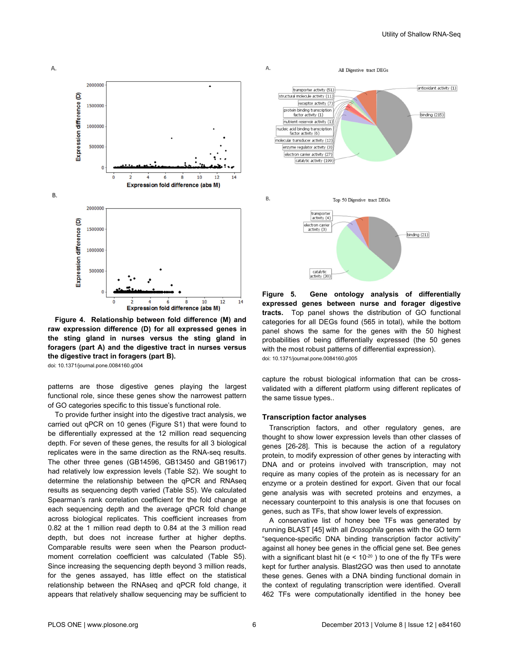<span id="page-5-0"></span>

**Figure 4. Relationship between fold difference (M) and raw expression difference (D) for all expressed genes in the sting gland in nurses versus the sting gland in foragers (part A) and the digestive tract in nurses versus the digestive tract in foragers (part B).**

doi: 10.1371/journal.pone.0084160.g004

patterns are those digestive genes playing the largest functional role, since these genes show the narrowest pattern of GO categories specific to this tissue's functional role.

To provide further insight into the digestive tract analysis, we carried out qPCR on 10 genes [\(Figure S1\)](#page-8-0) that were found to be differentially expressed at the 12 million read sequencing depth. For seven of these genes, the results for all 3 biological replicates were in the same direction as the RNA-seq results. The other three genes (GB14596, GB13450 and GB19617) had relatively low expression levels ([Table S2\)](#page-8-0). We sought to determine the relationship between the qPCR and RNAseq results as sequencing depth varied ([Table S5\)](#page-9-0). We calculated Spearman's rank correlation coefficient for the fold change at each sequencing depth and the average qPCR fold change across biological replicates. This coefficient increases from 0.82 at the 1 million read depth to 0.84 at the 3 million read depth, but does not increase further at higher depths. Comparable results were seen when the Pearson productmoment correlation coefficient was calculated [\(Table S5](#page-9-0)). Since increasing the sequencing depth beyond 3 million reads, for the genes assayed, has little effect on the statistical relationship between the RNAseq and qPCR fold change, it appears that relatively shallow sequencing may be sufficient to



**Figure 5. Gene ontology analysis of differentially expressed genes between nurse and forager digestive tracts.** Top panel shows the distribution of GO functional categories for all DEGs found (565 in total), while the bottom panel shows the same for the genes with the 50 highest probabilities of being differentially expressed (the 50 genes with the most robust patterns of differential expression). doi: 10.1371/journal.pone.0084160.g005

capture the robust biological information that can be crossvalidated with a different platform using different replicates of the same tissue types..

#### **Transcription factor analyses**

Transcription factors, and other regulatory genes, are thought to show lower expression levels than other classes of genes [\[26-28](#page-9-0)]. This is because the action of a regulatory protein, to modify expression of other genes by interacting with DNA and or proteins involved with transcription, may not require as many copies of the protein as is necessary for an enzyme or a protein destined for export. Given that our focal gene analysis was with secreted proteins and enzymes, a necessary counterpoint to this analysis is one that focuses on genes, such as TFs, that show lower levels of expression.

A conservative list of honey bee TFs was generated by running BLAST [[45\]](#page-10-0) with all *Drosophila* genes with the GO term "sequence-specific DNA binding transcription factor activity" against all honey bee genes in the official gene set. Bee genes with a significant blast hit (e <  $10^{-20}$ ) to one of the fly TFs were kept for further analysis. Blast2GO was then used to annotate these genes. Genes with a DNA binding functional domain in the context of regulating transcription were identified. Overall 462 TFs were computationally identified in the honey bee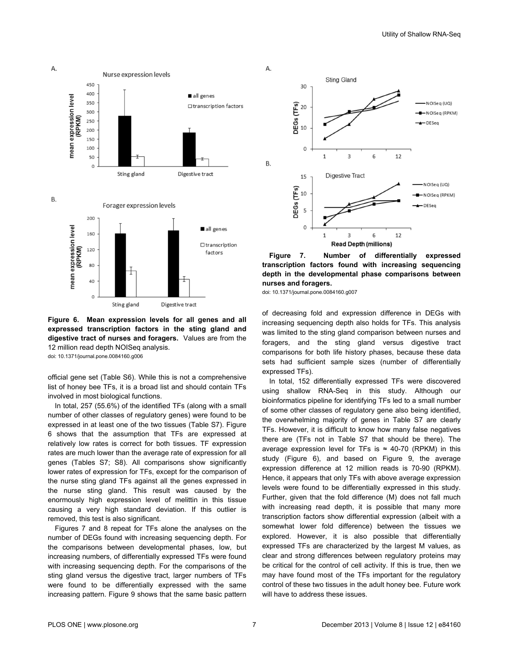

**Figure 6. Mean expression levels for all genes and all expressed transcription factors in the sting gland and digestive tract of nurses and foragers.** Values are from the 12 million read depth NOISeq analysis. doi: 10.1371/journal.pone.0084160.g006

official gene set ([Table S6](#page-9-0)). While this is not a comprehensive list of honey bee TFs, it is a broad list and should contain TFs involved in most biological functions.

In total, 257 (55.6%) of the identified TFs (along with a small number of other classes of regulatory genes) were found to be expressed in at least one of the two tissues ([Table S7](#page-9-0)). Figure 6 shows that the assumption that TFs are expressed at relatively low rates is correct for both tissues. TF expression rates are much lower than the average rate of expression for all genes ([Tables S7](#page-9-0); S8). All comparisons show significantly lower rates of expression for TFs, except for the comparison of the nurse sting gland TFs against all the genes expressed in the nurse sting gland. This result was caused by the enormously high expression level of melittin in this tissue causing a very high standard deviation. If this outlier is removed, this test is also significant.

Figures 7 and [8](#page-7-0) repeat for TFs alone the analyses on the number of DEGs found with increasing sequencing depth. For the comparisons between developmental phases, low, but increasing numbers, of differentially expressed TFs were found with increasing sequencing depth. For the comparisons of the sting gland versus the digestive tract, larger numbers of TFs were found to be differentially expressed with the same increasing pattern. [Figure 9](#page-7-0) shows that the same basic pattern



**Figure 7. Number of differentially expressed transcription factors found with increasing sequencing depth in the developmental phase comparisons between nurses and foragers.**

doi: 10.1371/journal.pone.0084160.g007

of decreasing fold and expression difference in DEGs with increasing sequencing depth also holds for TFs. This analysis was limited to the sting gland comparison between nurses and foragers, and the sting gland versus digestive tract comparisons for both life history phases, because these data sets had sufficient sample sizes (number of differentially expressed TFs).

In total, 152 differentially expressed TFs were discovered using shallow RNA-Seq in this study. Although our bioinformatics pipeline for identifying TFs led to a small number of some other classes of regulatory gene also being identified, the overwhelming majority of genes in [Table S7](#page-9-0) are clearly TFs. However, it is difficult to know how many false negatives there are (TFs not in [Table S7](#page-9-0) that should be there). The average expression level for TFs is  $\approx$  40-70 (RPKM) in this study (Figure 6), and based on [Figure 9,](#page-7-0) the average expression difference at 12 million reads is 70-90 (RPKM). Hence, it appears that only TFs with above average expression levels were found to be differentially expressed in this study. Further, given that the fold difference (M) does not fall much with increasing read depth, it is possible that many more transcription factors show differential expression (albeit with a somewhat lower fold difference) between the tissues we explored. However, it is also possible that differentially expressed TFs are characterized by the largest M values, as clear and strong differences between regulatory proteins may be critical for the control of cell activity. If this is true, then we may have found most of the TFs important for the regulatory control of these two tissues in the adult honey bee. Future work will have to address these issues.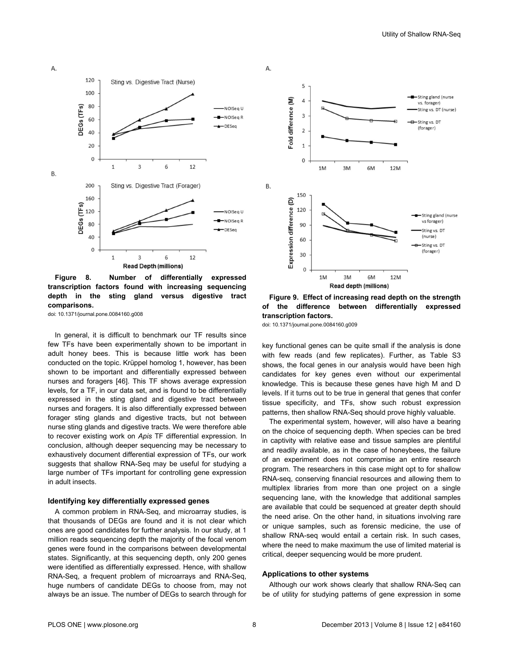<span id="page-7-0"></span>А. 120 Sting vs. Digestive Tract (Nurse) 100 80 DEGs (TFs) -NOISea U -NOISea R 60 -DESeg 40 20  $\Omega$  $\mathbf{1}$ 3 6 12 Β. 200 Sting vs. Digestive Tract (Forager) 160 DEGs (TFs) 120 NOISeg U -NOISeg F 80 -DESeg 40  $\mathbf 0$  $\mathbf{1}$  $\overline{3}$ 6 12 **Read Depth (millions)** 

**Figure 8. Number of differentially expressed transcription factors found with increasing sequencing depth in the sting gland versus digestive tract comparisons.**

doi: 10.1371/journal.pone.0084160.g008

In general, it is difficult to benchmark our TF results since few TFs have been experimentally shown to be important in adult honey bees. This is because little work has been conducted on the topic. Krüppel homolog 1, however, has been shown to be important and differentially expressed between nurses and foragers [[46](#page-10-0)]. This TF shows average expression levels, for a TF, in our data set, and is found to be differentially expressed in the sting gland and digestive tract between nurses and foragers. It is also differentially expressed between forager sting glands and digestive tracts, but not between nurse sting glands and digestive tracts. We were therefore able to recover existing work on *Apis* TF differential expression. In conclusion, although deeper sequencing may be necessary to exhaustively document differential expression of TFs, our work suggests that shallow RNA-Seq may be useful for studying a large number of TFs important for controlling gene expression in adult insects.

# **Identifying key differentially expressed genes**

A common problem in RNA-Seq, and microarray studies, is that thousands of DEGs are found and it is not clear which ones are good candidates for further analysis. In our study, at 1 million reads sequencing depth the majority of the focal venom genes were found in the comparisons between developmental states. Significantly, at this sequencing depth, only 200 genes were identified as differentially expressed. Hence, with shallow RNA-Seq, a frequent problem of microarrays and RNA-Seq, huge numbers of candidate DEGs to choose from, may not always be an issue. The number of DEGs to search through for



**Figure 9. Effect of increasing read depth on the strength of the difference between differentially expressed transcription factors.**

doi: 10.1371/journal.pone.0084160.g009

key functional genes can be quite small if the analysis is done with few reads (and few replicates). Further, as [Table S3](#page-8-0) shows, the focal genes in our analysis would have been high candidates for key genes even without our experimental knowledge. This is because these genes have high M and D levels. If it turns out to be true in general that genes that confer tissue specificity, and TFs, show such robust expression patterns, then shallow RNA-Seq should prove highly valuable.

The experimental system, however, will also have a bearing on the choice of sequencing depth. When species can be bred in captivity with relative ease and tissue samples are plentiful and readily available, as in the case of honeybees, the failure of an experiment does not compromise an entire research program. The researchers in this case might opt to for shallow RNA-seq, conserving financial resources and allowing them to multiplex libraries from more than one project on a single sequencing lane, with the knowledge that additional samples are available that could be sequenced at greater depth should the need arise. On the other hand, in situations involving rare or unique samples, such as forensic medicine, the use of shallow RNA-seq would entail a certain risk. In such cases, where the need to make maximum the use of limited material is critical, deeper sequencing would be more prudent.

#### **Applications to other systems**

Although our work shows clearly that shallow RNA-Seq can be of utility for studying patterns of gene expression in some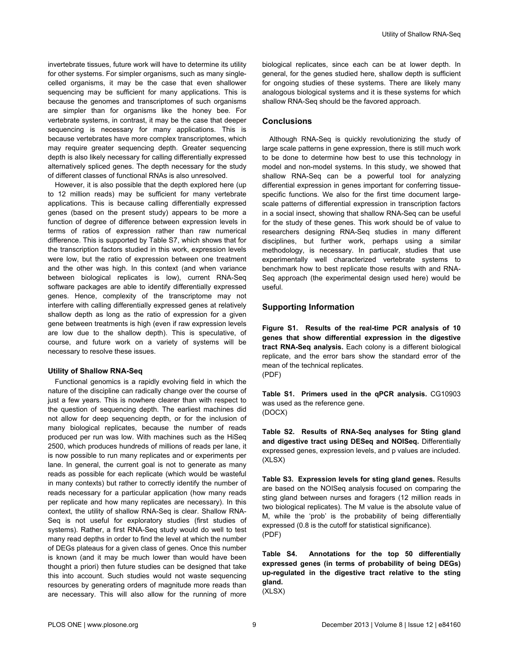<span id="page-8-0"></span>invertebrate tissues, future work will have to determine its utility for other systems. For simpler organisms, such as many singlecelled organisms, it may be the case that even shallower sequencing may be sufficient for many applications. This is because the genomes and transcriptomes of such organisms are simpler than for organisms like the honey bee. For vertebrate systems, in contrast, it may be the case that deeper sequencing is necessary for many applications. This is because vertebrates have more complex transcriptomes, which may require greater sequencing depth. Greater sequencing depth is also likely necessary for calling differentially expressed alternatively spliced genes. The depth necessary for the study of different classes of functional RNAs is also unresolved.

However, it is also possible that the depth explored here (up to 12 million reads) may be sufficient for many vertebrate applications. This is because calling differentially expressed genes (based on the present study) appears to be more a function of degree of difference between expression levels in terms of ratios of expression rather than raw numerical difference. This is supported by [Table S7,](#page-9-0) which shows that for the transcription factors studied in this work, expression levels were low, but the ratio of expression between one treatment and the other was high. In this context (and when variance between biological replicates is low), current RNA-Seq software packages are able to identify differentially expressed genes. Hence, complexity of the transcriptome may not interfere with calling differentially expressed genes at relatively shallow depth as long as the ratio of expression for a given gene between treatments is high (even if raw expression levels are low due to the shallow depth). This is speculative, of course, and future work on a variety of systems will be necessary to resolve these issues.

## **Utility of Shallow RNA-Seq**

Functional genomics is a rapidly evolving field in which the nature of the discipline can radically change over the course of just a few years. This is nowhere clearer than with respect to the question of sequencing depth. The earliest machines did not allow for deep sequencing depth, or for the inclusion of many biological replicates, because the number of reads produced per run was low. With machines such as the HiSeq 2500, which produces hundreds of millions of reads per lane, it is now possible to run many replicates and or experiments per lane. In general, the current goal is not to generate as many reads as possible for each replicate (which would be wasteful in many contexts) but rather to correctly identify the number of reads necessary for a particular application (how many reads per replicate and how many replicates are necessary). In this context, the utility of shallow RNA-Seq is clear. Shallow RNA-Seq is not useful for exploratory studies (first studies of systems). Rather, a first RNA-Seq study would do well to test many read depths in order to find the level at which the number of DEGs plateaus for a given class of genes. Once this number is known (and it may be much lower than would have been thought a priori) then future studies can be designed that take this into account. Such studies would not waste sequencing resources by generating orders of magnitude more reads than are necessary. This will also allow for the running of more

biological replicates, since each can be at lower depth. In general, for the genes studied here, shallow depth is sufficient for ongoing studies of these systems. There are likely many analogous biological systems and it is these systems for which shallow RNA-Seq should be the favored approach.

# **Conclusions**

Although RNA-Seq is quickly revolutionizing the study of large scale patterns in gene expression, there is still much work to be done to determine how best to use this technology in model and non-model systems. In this study, we showed that shallow RNA-Seq can be a powerful tool for analyzing differential expression in genes important for conferring tissuespecific functions. We also for the first time document largescale patterns of differential expression in transcription factors in a social insect, showing that shallow RNA-Seq can be useful for the study of these genes. This work should be of value to researchers designing RNA-Seq studies in many different disciplines, but further work, perhaps using a similar methodology, is necessary. In partiucalr, studies that use experimentally well characterized vertebrate systems to benchmark how to best replicate those results with and RNA-Seq approach (the experimental design used here) would be useful.

# **Supporting Information**

**Figure S1. Results of the real-time PCR analysis of 10 genes that show differential expression in the digestive tract RNA-Seq analysis.** Each colony is a different biological replicate, and the error bars show the standard error of the mean of the technical replicates. (PDF)

**Table S1. Primers used in the qPCR analysis.** CG10903 was used as the reference gene. (DOCX)

**Table S2. Results of RNA-Seq analyses for Sting gland and digestive tract using DESeq and NOISeq.** Differentially expressed genes, expression levels, and p values are included. (XLSX)

**Table S3. Expression levels for sting gland genes.** Results are based on the NOISeq analysis focused on comparing the sting gland between nurses and foragers (12 million reads in two biological replicates). The M value is the absolute value of M, while the 'prob' is the probability of being differentially expressed (0.8 is the cutoff for statistical significance). (PDF)

**Table S4. Annotations for the top 50 differentially expressed genes (in terms of probability of being DEGs) up-regulated in the digestive tract relative to the sting gland.**

(XLSX)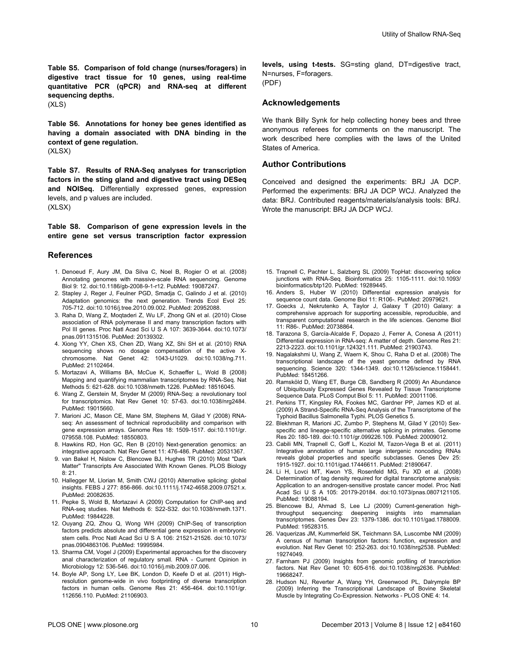<span id="page-9-0"></span>**Table S5. Comparison of fold change (nurses/foragers) in digestive tract tissue for 10 genes, using real-time quantitative PCR (qPCR) and RNA-seq at different sequencing depths.** (XLS)

**Table S6. Annotations for honey bee genes identified as having a domain associated with DNA binding in the context of gene regulation.** (XLSX)

**Table S7. Results of RNA-Seq analyses for transcription factors in the sting gland and digestive tract using DESeq and NOISeq.** Differentially expressed genes, expression levels, and p values are included. (XLSX)

**Table S8. Comparison of gene expression levels in the entire gene set versus transcription factor expression**

#### **References**

- 1. Denoeud F, Aury JM, Da Silva C, Noel B, Rogier O et al. (2008) Annotating genomes with massive-scale RNA sequencing. Genome Biol 9: 12. doi:[10.1186/gb-2008-9-1-r12.](http://dx.doi.org/10.1186/gb-2008-9-1-r12) PubMed: [19087247.](http://www.ncbi.nlm.nih.gov/pubmed/19087247)
- 2. Stapley J, Reger J, Feulner PGD, Smadja C, Galindo J et al. (2010) Adaptation genomics: the next generation. Trends Ecol Evol 25: 705-712. doi[:10.1016/j.tree.2010.09.002](http://dx.doi.org/10.1016/j.tree.2010.09.002). PubMed: [20952088](http://www.ncbi.nlm.nih.gov/pubmed/20952088).
- 3. Raha D, Wang Z, Moqtaderi Z, Wu LF, Zhong GN et al. (2010) Close association of RNA polymerase II and many transcription factors with Pol III genes. Proc Natl Acad Sci U S A 107: 3639-3644. doi[:10.1073/](http://dx.doi.org/10.1073/pnas.0911315106) [pnas.0911315106.](http://dx.doi.org/10.1073/pnas.0911315106) PubMed: [20139302.](http://www.ncbi.nlm.nih.gov/pubmed/20139302)
- 4. Xiong YY, Chen XS, Chen ZD, Wang XZ, Shi SH et al. (2010) RNA sequencing shows no dosage compensation of the active Xchromosome. Nat Genet 42: 1043-U1029. doi:[10.1038/ng.711.](http://dx.doi.org/10.1038/ng.711) PubMed: [21102464.](http://www.ncbi.nlm.nih.gov/pubmed/21102464)
- 5. Mortazavi A, Williams BA, McCue K, Schaeffer L, Wold B (2008) Mapping and quantifying mammalian transcriptomes by RNA-Seq. Nat Methods 5: 621-628. doi[:10.1038/nmeth.1226](http://dx.doi.org/10.1038/nmeth.1226). PubMed: [18516045](http://www.ncbi.nlm.nih.gov/pubmed/18516045).
- 6. Wang Z, Gerstein M, Snyder M (2009) RNA-Seq: a revolutionary tool for transcriptomics. Nat Rev Genet 10: 57-63. doi:[10.1038/nrg2484.](http://dx.doi.org/10.1038/nrg2484) PubMed: [19015660.](http://www.ncbi.nlm.nih.gov/pubmed/19015660)
- 7. Marioni JC, Mason CE, Mane SM, Stephens M, Gilad Y (2008) RNAseq: An assessment of technical reproducibility and comparison with gene expression arrays. Genome Res 18: 1509-1517. doi[:10.1101/gr.](http://dx.doi.org/10.1101/gr.079558.108) [079558.108.](http://dx.doi.org/10.1101/gr.079558.108) PubMed: [18550803.](http://www.ncbi.nlm.nih.gov/pubmed/18550803)
- 8. Hawkins RD, Hon GC, Ren B (2010) Next-generation genomics: an integrative approach. Nat Rev Genet 11: 476-486. PubMed: [20531367.](http://www.ncbi.nlm.nih.gov/pubmed/20531367)
- 9. van Bakel H, Nislow C, Blencowe BJ, Hughes TR (2010) Most "Dark Matter'' Transcripts Are Associated With Known Genes. PLOS Biology 8: 21.
- 10. Hallegger M, Llorian M, Smith CWJ (2010) Alternative splicing: global insights. FEBS J 277: 856-866. doi:[10.1111/j.1742-4658.2009.07521.x.](http://dx.doi.org/10.1111/j.1742-4658.2009.07521.x) PubMed: [20082635.](http://www.ncbi.nlm.nih.gov/pubmed/20082635)
- 11. Pepke S, Wold B, Mortazavi A (2009) Computation for ChIP-seq and RNA-seq studies. Nat Methods 6: S22-S32. doi[:10.1038/nmeth.1371.](http://dx.doi.org/10.1038/nmeth.1371) PubMed: [19844228.](http://www.ncbi.nlm.nih.gov/pubmed/19844228)
- 12. Ouyang ZQ, Zhou Q, Wong WH (2009) ChIP-Seq of transcription factors predicts absolute and differential gene expression in embryonic stem cells. Proc Natl Acad Sci U S A 106: 21521-21526. doi[:10.1073/](http://dx.doi.org/10.1073/pnas.0904863106) [pnas.0904863106.](http://dx.doi.org/10.1073/pnas.0904863106) PubMed: [19995984.](http://www.ncbi.nlm.nih.gov/pubmed/19995984)
- 13. Sharma CM, Vogel J (2009) Experimental approaches for the discovery anal characterization of regulatory small. RNA - Current Opinion in Microbiology 12: 536-546. doi[:10.1016/j.mib.2009.07.006](http://dx.doi.org/10.1016/j.mib.2009.07.006).
- 14. Boyle AP, Song LY, Lee BK, London D, Keefe D et al. (2011) Highresolution genome-wide in vivo footprinting of diverse transcription factors in human cells. Genome Res 21: 456-464. doi[:10.1101/gr.](http://dx.doi.org/10.1101/gr.112656.110) [112656.110.](http://dx.doi.org/10.1101/gr.112656.110) PubMed: [21106903.](http://www.ncbi.nlm.nih.gov/pubmed/21106903)

Utility of Shallow RNA-Seq

**levels, using t-tests.** SG=sting gland, DT=digestive tract, N=nurses, F=foragers. (PDF)

# **Acknowledgements**

We thank Billy Synk for help collecting honey bees and three anonymous referees for comments on the manuscript. The work described here complies with the laws of the United States of America.

# **Author Contributions**

Conceived and designed the experiments: BRJ JA DCP. Performed the experiments: BRJ JA DCP WCJ. Analyzed the data: BRJ. Contributed reagents/materials/analysis tools: BRJ. Wrote the manuscript: BRJ JA DCP WCJ.

- 15. Trapnell C, Pachter L, Salzberg SL (2009) TopHat: discovering splice junctions with RNA-Seq. Bioinformatics 25: 1105-1111. doi[:10.1093/](http://dx.doi.org/10.1093/bioinformatics/btp120) [bioinformatics/btp120](http://dx.doi.org/10.1093/bioinformatics/btp120). PubMed: [19289445](http://www.ncbi.nlm.nih.gov/pubmed/19289445).
- 16. Anders S, Huber W (2010) Differential expression analysis for sequence count data. Genome Biol 11: R106-. PubMed: [20979621.](http://www.ncbi.nlm.nih.gov/pubmed/20979621)
- 17. Goecks J, Nekrutenko A, Taylor J, Galaxy T (2010) Galaxy: a comprehensive approach for supporting accessible, reproducible, and transparent computational research in the life sciences. Genome Biol 11: R86-. PubMed: [20738864](http://www.ncbi.nlm.nih.gov/pubmed/20738864).
- 18. Tarazona S, García-Alcalde F, Dopazo J, Ferrer A, Conesa A (2011) Differential expression in RNA-seq: A matter of depth. Genome Res 21: 2213-2223. doi[:10.1101/gr.124321.111.](http://dx.doi.org/10.1101/gr.124321.111) PubMed: [21903743.](http://www.ncbi.nlm.nih.gov/pubmed/21903743)
- 19. Nagalakshmi U, Wang Z, Waern K, Shou C, Raha D et al. (2008) The transcriptional landscape of the yeast genome defined by RNA sequencing. Science 320: 1344-1349. doi[:10.1126/science.1158441](http://dx.doi.org/10.1126/science.1158441). PubMed: [18451266.](http://www.ncbi.nlm.nih.gov/pubmed/18451266)
- 20. Ramsköld D, Wang ET, Burge CB, Sandberg R (2009) An Abundance of Ubiquitously Expressed Genes Revealed by Tissue Transcriptome Sequence Data. PLoS Comput Biol 5: 11. PubMed: [20011106](http://www.ncbi.nlm.nih.gov/pubmed/20011106).
- 21. Perkins TT, Kingsley RA, Fookes MC, Gardner PP, James KD et al. (2009) A Strand-Specific RNA-Seq Analysis of the Transcriptome of the Typhoid Bacillus Salmonella Typhi. PLOS Genetics 5.
- 22. Blekhman R, Marioni JC, Zumbo P, Stephens M, Gilad Y (2010) Sexspecific and lineage-specific alternative splicing in primates. Genome Res 20: 180-189. doi[:10.1101/gr.099226.109.](http://dx.doi.org/10.1101/gr.099226.109) PubMed: [20009012.](http://www.ncbi.nlm.nih.gov/pubmed/20009012)
- 23. Cabili MN, Trapnell C, Goff L, Koziol M, Tazon-Vega B et al. (2011) Integrative annotation of human large intergenic noncoding RNAs reveals global properties and specific subclasses. Genes Dev 25: 1915-1927. doi[:10.1101/gad.17446611](http://dx.doi.org/10.1101/gad.17446611). PubMed: [21890647](http://www.ncbi.nlm.nih.gov/pubmed/21890647).
- 24. Li H, Lovci MT, Kwon YS, Rosenfeld MG, Fu XD et al. (2008) Determination of tag density required for digital transcriptome analysis: Application to an androgen-sensitive prostate cancer model. Proc Natl Acad Sci U S A 105: 20179-20184. doi[:10.1073/pnas.0807121105](http://dx.doi.org/10.1073/pnas.0807121105). PubMed: [19088194.](http://www.ncbi.nlm.nih.gov/pubmed/19088194)
- 25. Blencowe BJ, Ahmad S, Lee LJ (2009) Current-generation highthroughput sequencing: deepening insights into mammalian transcriptomes. Genes Dev 23: 1379-1386. doi[:10.1101/gad.1788009](http://dx.doi.org/10.1101/gad.1788009). PubMed: [19528315.](http://www.ncbi.nlm.nih.gov/pubmed/19528315)
- 26. Vaquerizas JM, Kummerfeld SK, Teichmann SA, Luscombe NM (2009) A census of human transcription factors: function, expression and evolution. Nat Rev Genet 10: 252-263. doi:[10.1038/nrg2538.](http://dx.doi.org/10.1038/nrg2538) PubMed: [19274049.](http://www.ncbi.nlm.nih.gov/pubmed/19274049)
- 27. Farnham PJ (2009) Insights from genomic profiling of transcription factors. Nat Rev Genet 10: 605-616. doi:[10.1038/nrg2636.](http://dx.doi.org/10.1038/nrg2636) PubMed: [19668247.](http://www.ncbi.nlm.nih.gov/pubmed/19668247)
- 28. Hudson NJ, Reverter A, Wang YH, Greenwood PL, Dalrymple BP (2009) Inferring the Transcriptional Landscape of Bovine Skeletal Muscle by Integrating Co-Expression. Networks - PLOS ONE 4: 14.